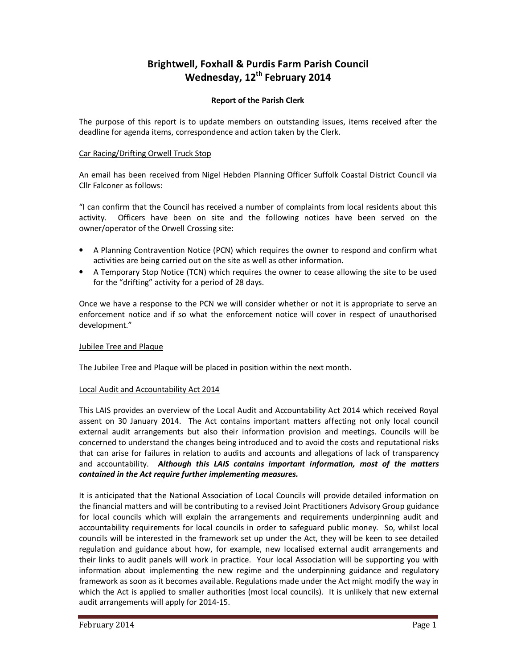# **Brightwell, Foxhall & Purdis Farm Parish Council Wednesday, 12th February 2014**

# **Report of the Parish Clerk**

The purpose of this report is to update members on outstanding issues, items received after the deadline for agenda items, correspondence and action taken by the Clerk.

# Car Racing/Drifting Orwell Truck Stop

An email has been received from Nigel Hebden Planning Officer Suffolk Coastal District Council via Cllr Falconer as follows:

"I can confirm that the Council has received a number of complaints from local residents about this activity. Officers have been on site and the following notices have been served on the owner/operator of the Orwell Crossing site:

- A Planning Contravention Notice (PCN) which requires the owner to respond and confirm what activities are being carried out on the site as well as other information.
- A Temporary Stop Notice (TCN) which requires the owner to cease allowing the site to be used for the "drifting" activity for a period of 28 days.

Once we have a response to the PCN we will consider whether or not it is appropriate to serve an enforcement notice and if so what the enforcement notice will cover in respect of unauthorised development."

## Jubilee Tree and Plaque

The Jubilee Tree and Plaque will be placed in position within the next month.

## Local Audit and Accountability Act 2014

This LAIS provides an overview of the Local Audit and Accountability Act 2014 which received Royal assent on 30 January 2014. The Act contains important matters affecting not only local council external audit arrangements but also their information provision and meetings. Councils will be concerned to understand the changes being introduced and to avoid the costs and reputational risks that can arise for failures in relation to audits and accounts and allegations of lack of transparency and accountability. *Although this LAIS contains important information, most of the matters contained in the Act require further implementing measures.*

It is anticipated that the National Association of Local Councils will provide detailed information on the financial matters and will be contributing to a revised Joint Practitioners Advisory Group guidance for local councils which will explain the arrangements and requirements underpinning audit and accountability requirements for local councils in order to safeguard public money. So, whilst local councils will be interested in the framework set up under the Act, they will be keen to see detailed regulation and guidance about how, for example, new localised external audit arrangements and their links to audit panels will work in practice. Your local Association will be supporting you with information about implementing the new regime and the underpinning guidance and regulatory framework as soon as it becomes available. Regulations made under the Act might modify the way in which the Act is applied to smaller authorities (most local councils). It is unlikely that new external audit arrangements will apply for 2014-15.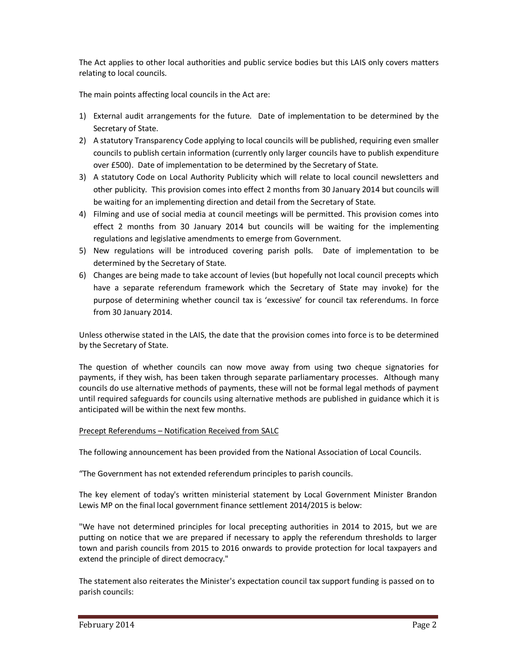The Act applies to other local authorities and public service bodies but this LAIS only covers matters relating to local councils.

The main points affecting local councils in the Act are:

- 1) External audit arrangements for the future. Date of implementation to be determined by the Secretary of State.
- 2) A statutory Transparency Code applying to local councils will be published, requiring even smaller councils to publish certain information (currently only larger councils have to publish expenditure over £500). Date of implementation to be determined by the Secretary of State.
- 3) A statutory Code on Local Authority Publicity which will relate to local council newsletters and other publicity. This provision comes into effect 2 months from 30 January 2014 but councils will be waiting for an implementing direction and detail from the Secretary of State.
- 4) Filming and use of social media at council meetings will be permitted. This provision comes into effect 2 months from 30 January 2014 but councils will be waiting for the implementing regulations and legislative amendments to emerge from Government.
- 5) New regulations will be introduced covering parish polls. Date of implementation to be determined by the Secretary of State.
- 6) Changes are being made to take account of levies (but hopefully not local council precepts which have a separate referendum framework which the Secretary of State may invoke) for the purpose of determining whether council tax is 'excessive' for council tax referendums. In force from 30 January 2014.

Unless otherwise stated in the LAIS, the date that the provision comes into force is to be determined by the Secretary of State.

The question of whether councils can now move away from using two cheque signatories for payments, if they wish, has been taken through separate parliamentary processes. Although many councils do use alternative methods of payments, these will not be formal legal methods of payment until required safeguards for councils using alternative methods are published in guidance which it is anticipated will be within the next few months.

### Precept Referendums – Notification Received from SALC

The following announcement has been provided from the National Association of Local Councils.

"The Government has not extended referendum principles to parish councils.

The key element of today's written ministerial statement by Local Government Minister Brandon Lewis MP on the final local government finance settlement 2014/2015 is below:

"We have not determined principles for local precepting authorities in 2014 to 2015, but we are putting on notice that we are prepared if necessary to apply the referendum thresholds to larger town and parish councils from 2015 to 2016 onwards to provide protection for local taxpayers and extend the principle of direct democracy."

The statement also reiterates the Minister's expectation council tax support funding is passed on to parish councils: